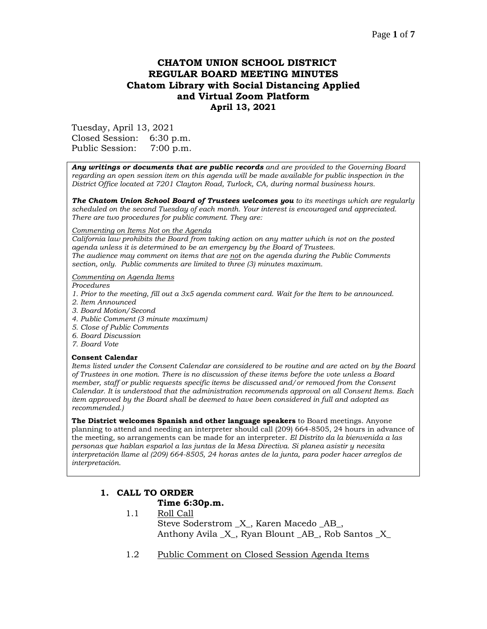# Page **1** of **7**

# **CHATOM UNION SCHOOL DISTRICT REGULAR BOARD MEETING MINUTES Chatom Library with Social Distancing Applied and Virtual Zoom Platform April 13, 2021**

Tuesday, April 13, 2021 Closed Session: 6:30 p.m. Public Session: 7:00 p.m.

*Any writings or documents that are public records and are provided to the Governing Board regarding an open session item on this agenda will be made available for public inspection in the District Office located at 7201 Clayton Road, Turlock, CA, during normal business hours.*

*The Chatom Union School Board of Trustees welcomes you to its meetings which are regularly scheduled on the second Tuesday of each month. Your interest is encouraged and appreciated. There are two procedures for public comment. They are:*

### *Commenting on Items Not on the Agenda*

*California law prohibits the Board from taking action on any matter which is not on the posted agenda unless it is determined to be an emergency by the Board of Trustees. The audience may comment on items that are not on the agenda during the Public Comments section, only. Public comments are limited to three (3) minutes maximum.*

### *Commenting on Agenda Items*

*Procedures* 

- *1. Prior to the meeting, fill out a 3x5 agenda comment card. Wait for the Item to be announced.*
- *2. Item Announced*
- *3. Board Motion/Second*
- *4. Public Comment (3 minute maximum)*
- *5. Close of Public Comments*
- *6. Board Discussion*
- *7. Board Vote*

### **Consent Calendar**

*Items listed under the Consent Calendar are considered to be routine and are acted on by the Board of Trustees in one motion. There is no discussion of these items before the vote unless a Board member, staff or public requests specific items be discussed and/or removed from the Consent Calendar. It is understood that the administration recommends approval on all Consent Items. Each item approved by the Board shall be deemed to have been considered in full and adopted as recommended.)*

**The District welcomes Spanish and other language speakers** to Board meetings. Anyone planning to attend and needing an interpreter should call (209) 664-8505, 24 hours in advance of the meeting, so arrangements can be made for an interpreter. *El Distrito da la bienvenida a las personas que hablan español a las juntas de la Mesa Directiva. Si planea asistir y necesita interpretación llame al (209) 664-8505, 24 horas antes de la junta, para poder hacer arreglos de interpretación.*

# **1. CALL TO ORDER**

### **Time 6:30p.m.**

- 1.1 Roll Call Steve Soderstrom \_X\_, Karen Macedo \_AB\_, Anthony Avila  $X$ , Ryan Blount AB, Rob Santos X
- 1.2 Public Comment on Closed Session Agenda Items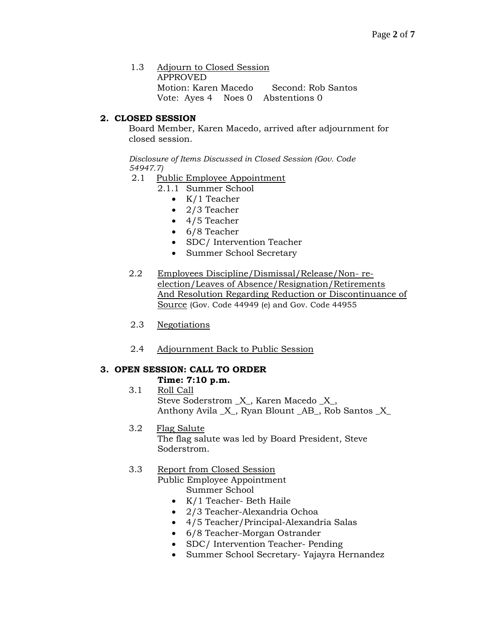1.3 Adjourn to Closed Session APPROVED Motion: Karen Macedo Second: Rob Santos Vote: Ayes 4 Noes 0 Abstentions 0

# **2. CLOSED SESSION**

Board Member, Karen Macedo, arrived after adjournment for closed session.

*Disclosure of Items Discussed in Closed Session (Gov. Code 54947.7)*

- 2.1 Public Employee Appointment
	- 2.1.1 Summer School
		- K/1 Teacher
		- 2/3 Teacher
		- 4/5 Teacher
		- 6/8 Teacher
		- SDC/ Intervention Teacher
		- Summer School Secretary
- 2.2 Employees Discipline/Dismissal/Release/Non- reelection/Leaves of Absence/Resignation/Retirements And Resolution Regarding Reduction or Discontinuance of Source (Gov. Code 44949 (e) and Gov. Code 44955
- 2.3 Negotiations
- 2.4 Adjournment Back to Public Session

# **3. OPEN SESSION: CALL TO ORDER**

# **Time: 7:10 p.m.**

- 3.1 Roll Call Steve Soderstrom \_X\_, Karen Macedo \_X\_, Anthony Avila \_X\_, Ryan Blount \_AB\_, Rob Santos \_X\_
- 3.2 Flag Salute The flag salute was led by Board President, Steve Soderstrom.

# 3.3 Report from Closed Session

Public Employee Appointment Summer School

- K/1 Teacher- Beth Haile
- 2/3 Teacher-Alexandria Ochoa
- 4/5 Teacher/Principal-Alexandria Salas
- 6/8 Teacher-Morgan Ostrander
- SDC/ Intervention Teacher- Pending
- Summer School Secretary- Yajayra Hernandez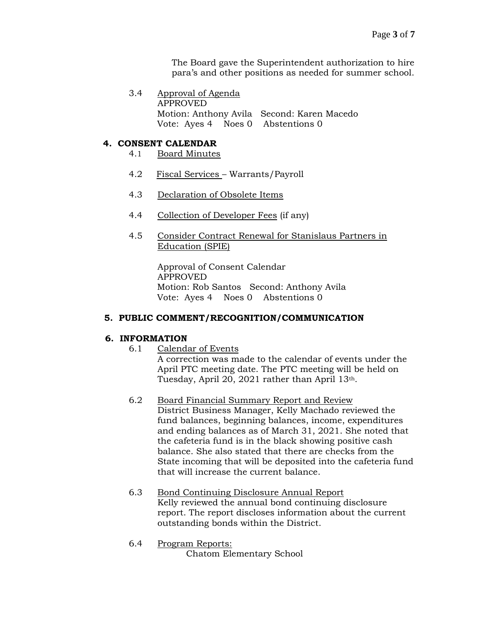The Board gave the Superintendent authorization to hire para's and other positions as needed for summer school.

3.4 Approval of Agenda APPROVED Motion: Anthony Avila Second: Karen Macedo Vote: Ayes 4 Noes 0 Abstentions 0

# **4. CONSENT CALENDAR**

- 4.1 Board Minutes
- 4.2 Fiscal Services Warrants/Payroll
- 4.3 Declaration of Obsolete Items
- 4.4 Collection of Developer Fees (if any)
- 4.5 Consider Contract Renewal for Stanislaus Partners in Education (SPIE)

Approval of Consent Calendar APPROVED Motion: Rob Santos Second: Anthony Avila Vote: Ayes 4 Noes 0 Abstentions 0

### **5. PUBLIC COMMENT/RECOGNITION/COMMUNICATION**

# **6. INFORMATION**

- 6.1 Calendar of Events A correction was made to the calendar of events under the April PTC meeting date. The PTC meeting will be held on Tuesday, April 20, 2021 rather than April 13<sup>th</sup>.
- 6.2 Board Financial Summary Report and Review District Business Manager, Kelly Machado reviewed the fund balances, beginning balances, income, expenditures and ending balances as of March 31, 2021. She noted that the cafeteria fund is in the black showing positive cash balance. She also stated that there are checks from the State incoming that will be deposited into the cafeteria fund that will increase the current balance.
- 6.3 Bond Continuing Disclosure Annual Report Kelly reviewed the annual bond continuing disclosure report. The report discloses information about the current outstanding bonds within the District.
- 6.4 Program Reports: Chatom Elementary School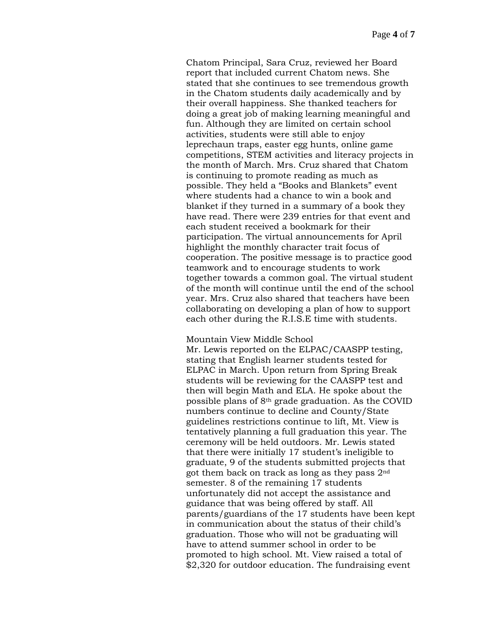Chatom Principal, Sara Cruz, reviewed her Board report that included current Chatom news. She stated that she continues to see tremendous growth in the Chatom students daily academically and by their overall happiness. She thanked teachers for doing a great job of making learning meaningful and fun. Although they are limited on certain school activities, students were still able to enjoy leprechaun traps, easter egg hunts, online game competitions, STEM activities and literacy projects in the month of March. Mrs. Cruz shared that Chatom is continuing to promote reading as much as possible. They held a "Books and Blankets" event where students had a chance to win a book and blanket if they turned in a summary of a book they have read. There were 239 entries for that event and each student received a bookmark for their participation. The virtual announcements for April highlight the monthly character trait focus of cooperation. The positive message is to practice good teamwork and to encourage students to work together towards a common goal. The virtual student of the month will continue until the end of the school year. Mrs. Cruz also shared that teachers have been collaborating on developing a plan of how to support each other during the R.I.S.E time with students.

### Mountain View Middle School

Mr. Lewis reported on the ELPAC/CAASPP testing, stating that English learner students tested for ELPAC in March. Upon return from Spring Break students will be reviewing for the CAASPP test and then will begin Math and ELA. He spoke about the possible plans of 8th grade graduation. As the COVID numbers continue to decline and County/State guidelines restrictions continue to lift, Mt. View is tentatively planning a full graduation this year. The ceremony will be held outdoors. Mr. Lewis stated that there were initially 17 student's ineligible to graduate, 9 of the students submitted projects that got them back on track as long as they pass 2nd semester. 8 of the remaining 17 students unfortunately did not accept the assistance and guidance that was being offered by staff. All parents/guardians of the 17 students have been kept in communication about the status of their child's graduation. Those who will not be graduating will have to attend summer school in order to be promoted to high school. Mt. View raised a total of \$2,320 for outdoor education. The fundraising event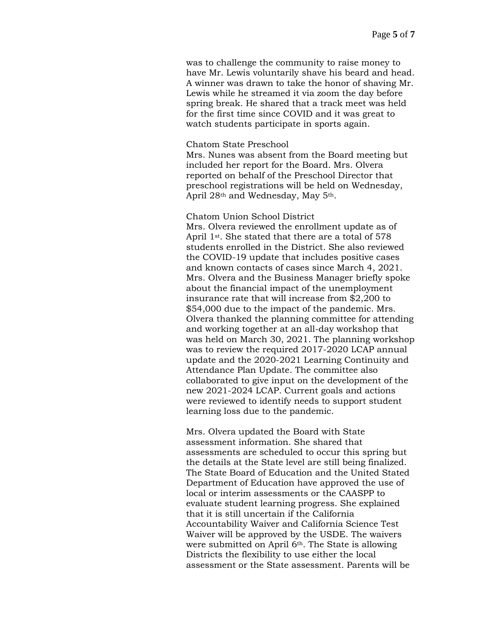was to challenge the community to raise money to have Mr. Lewis voluntarily shave his beard and head. A winner was drawn to take the honor of shaving Mr. Lewis while he streamed it via zoom the day before spring break. He shared that a track meet was held for the first time since COVID and it was great to watch students participate in sports again.

### Chatom State Preschool

Mrs. Nunes was absent from the Board meeting but included her report for the Board. Mrs. Olvera reported on behalf of the Preschool Director that preschool registrations will be held on Wednesday, April 28th and Wednesday, May 5th.

### Chatom Union School District

Mrs. Olvera reviewed the enrollment update as of April 1st. She stated that there are a total of 578 students enrolled in the District. She also reviewed the COVID-19 update that includes positive cases and known contacts of cases since March 4, 2021. Mrs. Olvera and the Business Manager briefly spoke about the financial impact of the unemployment insurance rate that will increase from \$2,200 to \$54,000 due to the impact of the pandemic. Mrs. Olvera thanked the planning committee for attending and working together at an all-day workshop that was held on March 30, 2021. The planning workshop was to review the required 2017-2020 LCAP annual update and the 2020-2021 Learning Continuity and Attendance Plan Update. The committee also collaborated to give input on the development of the new 2021-2024 LCAP. Current goals and actions were reviewed to identify needs to support student learning loss due to the pandemic.

Mrs. Olvera updated the Board with State assessment information. She shared that assessments are scheduled to occur this spring but the details at the State level are still being finalized. The State Board of Education and the United Stated Department of Education have approved the use of local or interim assessments or the CAASPP to evaluate student learning progress. She explained that it is still uncertain if the California Accountability Waiver and California Science Test Waiver will be approved by the USDE. The waivers were submitted on April 6<sup>th</sup>. The State is allowing Districts the flexibility to use either the local assessment or the State assessment. Parents will be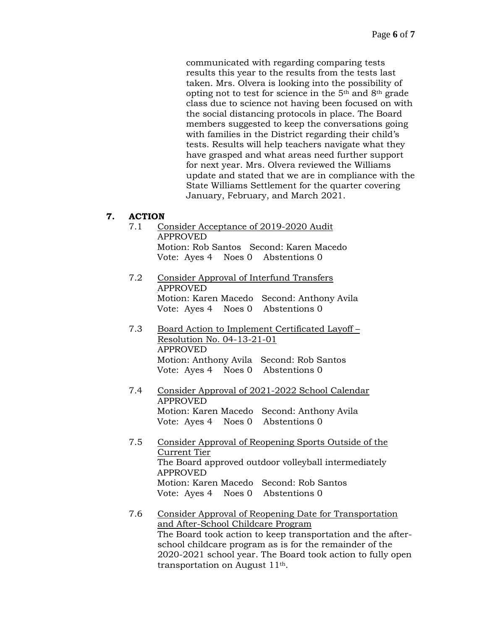communicated with regarding comparing tests results this year to the results from the tests last taken. Mrs. Olvera is looking into the possibility of opting not to test for science in the 5th and 8th grade class due to science not having been focused on with the social distancing protocols in place. The Board members suggested to keep the conversations going with families in the District regarding their child's tests. Results will help teachers navigate what they have grasped and what areas need further support for next year. Mrs. Olvera reviewed the Williams update and stated that we are in compliance with the State Williams Settlement for the quarter covering January, February, and March 2021.

# **7. ACTION**

- 7.1 Consider Acceptance of 2019-2020 Audit APPROVED Motion: Rob Santos Second: Karen Macedo Vote: Ayes 4 Noes 0 Abstentions 0
- 7.2 Consider Approval of Interfund Transfers APPROVED Motion: Karen Macedo Second: Anthony Avila Vote: Ayes 4 Noes 0 Abstentions 0
- 7.3 Board Action to Implement Certificated Layoff Resolution No. 04-13-21-01 APPROVED Motion: Anthony Avila Second: Rob Santos Vote: Ayes 4 Noes 0 Abstentions 0
- 7.4 Consider Approval of 2021-2022 School Calendar APPROVED Motion: Karen Macedo Second: Anthony Avila Vote: Ayes 4 Noes 0 Abstentions 0
- 7.5 Consider Approval of Reopening Sports Outside of the Current Tier The Board approved outdoor volleyball intermediately APPROVED Motion: Karen Macedo Second: Rob Santos Vote: Ayes 4 Noes 0 Abstentions 0
- 7.6 Consider Approval of Reopening Date for Transportation and After-School Childcare Program The Board took action to keep transportation and the afterschool childcare program as is for the remainder of the 2020-2021 school year. The Board took action to fully open transportation on August 11th.